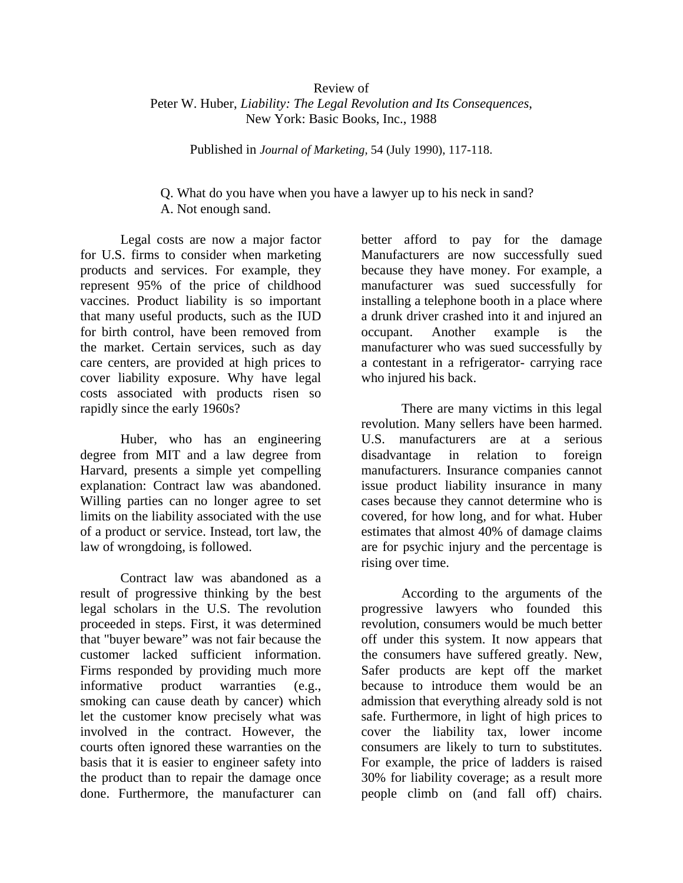## Review of Peter W. Huber, *Liability: The Legal Revolution and Its Consequences*, New York: Basic Books, Inc., 1988

Published in *Journal of Marketing,* 54 (July 1990), 117-118.

## Q. What do you have when you have a lawyer up to his neck in sand? A. Not enough sand.

Legal costs are now a major factor for U.S. firms to consider when marketing products and services. For example, they represent 95% of the price of childhood vaccines. Product liability is so important that many useful products, such as the IUD for birth control, have been removed from the market. Certain services, such as day care centers, are provided at high prices to cover liability exposure. Why have legal costs associated with products risen so rapidly since the early 1960s?

Huber, who has an engineering degree from MIT and a law degree from Harvard, presents a simple yet compelling explanation: Contract law was abandoned. Willing parties can no longer agree to set limits on the liability associated with the use of a product or service. Instead, tort law, the law of wrongdoing, is followed.

Contract law was abandoned as a result of progressive thinking by the best legal scholars in the U.S. The revolution proceeded in steps. First, it was determined that "buyer beware" was not fair because the customer lacked sufficient information. Firms responded by providing much more informative product warranties (e.g., smoking can cause death by cancer) which let the customer know precisely what was involved in the contract. However, the courts often ignored these warranties on the basis that it is easier to engineer safety into the product than to repair the damage once done. Furthermore, the manufacturer can

better afford to pay for the damage Manufacturers are now successfully sued because they have money. For example, a manufacturer was sued successfully for installing a telephone booth in a place where a drunk driver crashed into it and injured an occupant. Another example is the manufacturer who was sued successfully by a contestant in a refrigerator- carrying race who injured his back.

There are many victims in this legal revolution. Many sellers have been harmed. U.S. manufacturers are at a serious disadvantage in relation to foreign manufacturers. Insurance companies cannot issue product liability insurance in many cases because they cannot determine who is covered, for how long, and for what. Huber estimates that almost 40% of damage claims are for psychic injury and the percentage is rising over time.

According to the arguments of the progressive lawyers who founded this revolution, consumers would be much better off under this system. It now appears that the consumers have suffered greatly. New, Safer products are kept off the market because to introduce them would be an admission that everything already sold is not safe. Furthermore, in light of high prices to cover the liability tax, lower income consumers are likely to turn to substitutes. For example, the price of ladders is raised 30% for liability coverage; as a result more people climb on (and fall off) chairs.